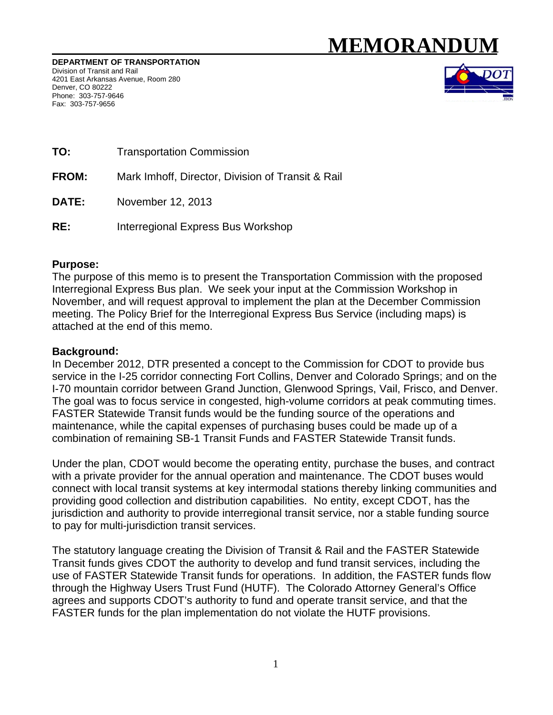# **MEMORAND**

DEPARTMENT OF TRANSPORTATION Division of Transit and Rail 4201 East Arkansas Avenue, Room 280 Denver, CO 80222 Phone: 303-757-9646 Fax: 303-757-9656



- TO: **Transportation Commission**
- **FROM:** Mark Imhoff, Director, Division of Transit & Rail
- DATE: November 12, 2013
- $RE:$ Interregional Express Bus Workshop

## **Purpose:**

The purpose of this memo is to present the Transportation Commission with the proposed Interregional Express Bus plan. We seek your input at the Commission Workshop in November, and will request approval to implement the plan at the December Commission meeting. The Policy Brief for the Interregional Express Bus Service (including maps) is attached at the end of this memo.

## **Background:**

In December 2012, DTR presented a concept to the Commission for CDOT to provide bus service in the I-25 corridor connecting Fort Collins, Denver and Colorado Springs; and on the I-70 mountain corridor between Grand Junction, Glenwood Springs, Vail, Frisco, and Denver. The goal was to focus service in congested, high-volume corridors at peak commuting times. FASTER Statewide Transit funds would be the funding source of the operations and maintenance, while the capital expenses of purchasing buses could be made up of a combination of remaining SB-1 Transit Funds and FASTER Statewide Transit funds.

Under the plan, CDOT would become the operating entity, purchase the buses, and contract with a private provider for the annual operation and maintenance. The CDOT buses would connect with local transit systems at key intermodal stations thereby linking communities and providing good collection and distribution capabilities. No entity, except CDOT, has the jurisdiction and authority to provide interregional transit service, nor a stable funding source to pay for multi-jurisdiction transit services.

The statutory language creating the Division of Transit & Rail and the FASTER Statewide Transit funds gives CDOT the authority to develop and fund transit services, including the use of FASTER Statewide Transit funds for operations. In addition, the FASTER funds flow through the Highway Users Trust Fund (HUTF). The Colorado Attorney General's Office agrees and supports CDOT's authority to fund and operate transit service, and that the FASTER funds for the plan implementation do not violate the HUTF provisions.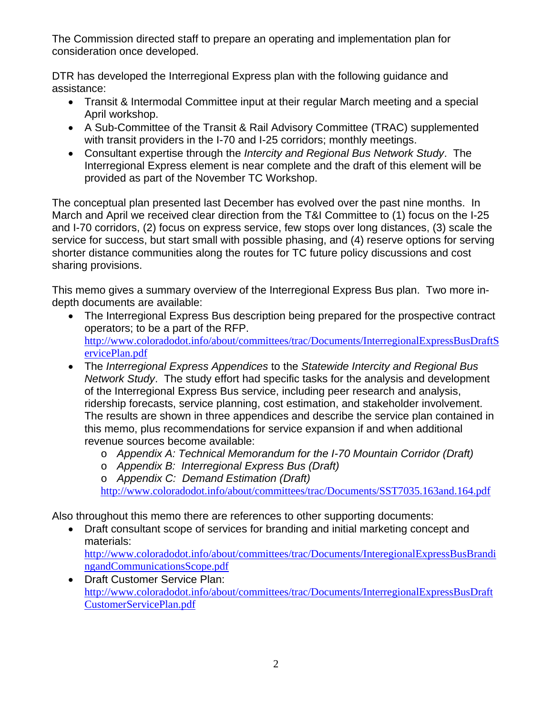The Commission directed staff to prepare an operating and implementation plan for consideration once developed.

DTR has developed the Interregional Express plan with the following guidance and assistance:

- Transit & Intermodal Committee input at their regular March meeting and a special April workshop.
- A Sub-Committee of the Transit & Rail Advisory Committee (TRAC) supplemented with transit providers in the I-70 and I-25 corridors; monthly meetings.
- Consultant expertise through the *Intercity and Regional Bus Network Study*. The Interregional Express element is near complete and the draft of this element will be provided as part of the November TC Workshop.

The conceptual plan presented last December has evolved over the past nine months. In March and April we received clear direction from the T&I Committee to (1) focus on the I-25 and I-70 corridors, (2) focus on express service, few stops over long distances, (3) scale the service for success, but start small with possible phasing, and (4) reserve options for serving shorter distance communities along the routes for TC future policy discussions and cost sharing provisions.

This memo gives a summary overview of the Interregional Express Bus plan. Two more indepth documents are available:

- The Interregional Express Bus description being prepared for the prospective contract operators; to be a part of the RFP. http://www.coloradodot.info/about/committees/trac/Documents/InterregionalExpressBusDraftS ervicePlan.pdf
- The *Interregional Express Appendices* to the *Statewide Intercity and Regional Bus Network Study*. The study effort had specific tasks for the analysis and development of the Interregional Express Bus service, including peer research and analysis, ridership forecasts, service planning, cost estimation, and stakeholder involvement. The results are shown in three appendices and describe the service plan contained in this memo, plus recommendations for service expansion if and when additional revenue sources become available:
	- o *Appendix A: Technical Memorandum for the I-70 Mountain Corridor (Draft)*
	- o *Appendix B: Interregional Express Bus (Draft)*
	- o *Appendix C: Demand Estimation (Draft)*

http://www.coloradodot.info/about/committees/trac/Documents/SST7035.163and.164.pdf

Also throughout this memo there are references to other supporting documents:

 Draft consultant scope of services for branding and initial marketing concept and materials:

http://www.coloradodot.info/about/committees/trac/Documents/InteregionalExpressBusBrandi ngandCommunicationsScope.pdf

• Draft Customer Service Plan: http://www.coloradodot.info/about/committees/trac/Documents/InterregionalExpressBusDraft CustomerServicePlan.pdf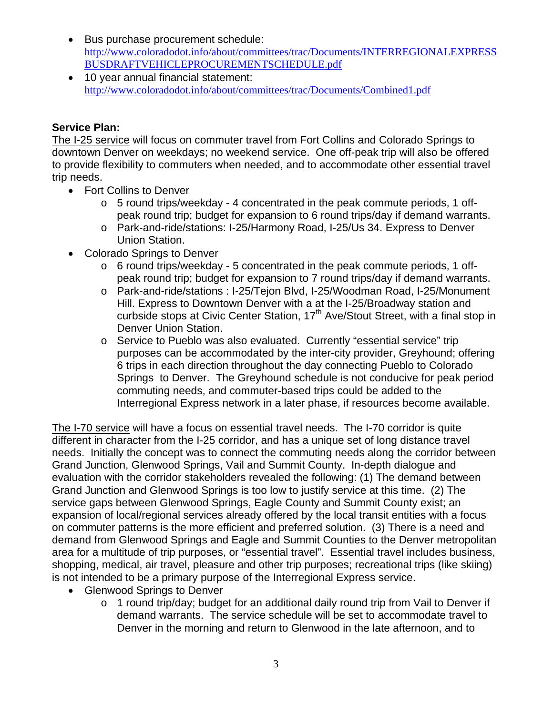- Bus purchase procurement schedule: http://www.coloradodot.info/about/committees/trac/Documents/INTERREGIONALEXPRESS BUSDRAFTVEHICLEPROCUREMENTSCHEDULE.pdf
- 10 year annual financial statement: http://www.coloradodot.info/about/committees/trac/Documents/Combined1.pdf

## **Service Plan:**

The I-25 service will focus on commuter travel from Fort Collins and Colorado Springs to downtown Denver on weekdays; no weekend service. One off-peak trip will also be offered to provide flexibility to commuters when needed, and to accommodate other essential travel trip needs.

- Fort Collins to Denver
	- o 5 round trips/weekday 4 concentrated in the peak commute periods, 1 offpeak round trip; budget for expansion to 6 round trips/day if demand warrants.
	- o Park-and-ride/stations: I-25/Harmony Road, I-25/Us 34. Express to Denver Union Station.
- Colorado Springs to Denver
	- o 6 round trips/weekday 5 concentrated in the peak commute periods, 1 offpeak round trip; budget for expansion to 7 round trips/day if demand warrants.
	- o Park-and-ride/stations : I-25/Tejon Blvd, I-25/Woodman Road, I-25/Monument Hill. Express to Downtown Denver with a at the I-25/Broadway station and curbside stops at Civic Center Station,  $17<sup>th</sup>$  Ave/Stout Street, with a final stop in Denver Union Station.
	- o Service to Pueblo was also evaluated. Currently "essential service" trip purposes can be accommodated by the inter-city provider, Greyhound; offering 6 trips in each direction throughout the day connecting Pueblo to Colorado Springs to Denver. The Greyhound schedule is not conducive for peak period commuting needs, and commuter-based trips could be added to the Interregional Express network in a later phase, if resources become available.

The I-70 service will have a focus on essential travel needs. The I-70 corridor is quite different in character from the I-25 corridor, and has a unique set of long distance travel needs. Initially the concept was to connect the commuting needs along the corridor between Grand Junction, Glenwood Springs, Vail and Summit County. In-depth dialogue and evaluation with the corridor stakeholders revealed the following: (1) The demand between Grand Junction and Glenwood Springs is too low to justify service at this time. (2) The service gaps between Glenwood Springs, Eagle County and Summit County exist; an expansion of local/regional services already offered by the local transit entities with a focus on commuter patterns is the more efficient and preferred solution. (3) There is a need and demand from Glenwood Springs and Eagle and Summit Counties to the Denver metropolitan area for a multitude of trip purposes, or "essential travel". Essential travel includes business, shopping, medical, air travel, pleasure and other trip purposes; recreational trips (like skiing) is not intended to be a primary purpose of the Interregional Express service.

- Glenwood Springs to Denver
	- o 1 round trip/day; budget for an additional daily round trip from Vail to Denver if demand warrants. The service schedule will be set to accommodate travel to Denver in the morning and return to Glenwood in the late afternoon, and to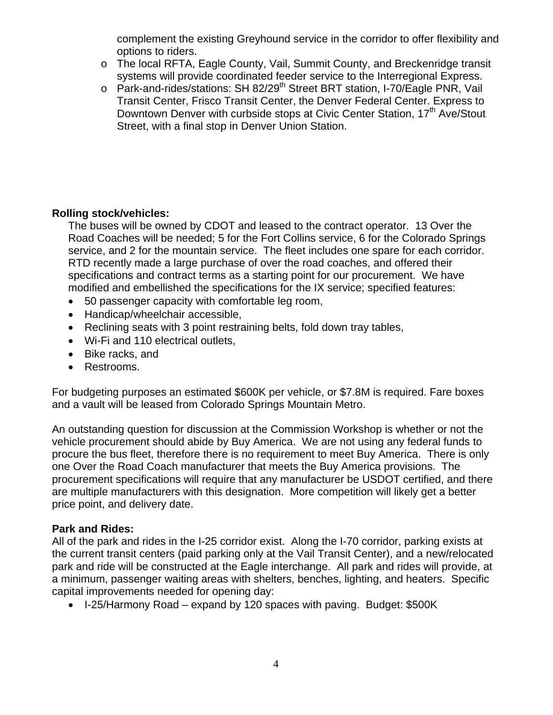complement the existing Greyhound service in the corridor to offer flexibility and options to riders.

- o The local RFTA, Eagle County, Vail, Summit County, and Breckenridge transit systems will provide coordinated feeder service to the Interregional Express.
- o Park-and-rides/stations: SH 82/29<sup>th</sup> Street BRT station, I-70/Eagle PNR, Vail Transit Center, Frisco Transit Center, the Denver Federal Center. Express to Downtown Denver with curbside stops at Civic Center Station,  $17<sup>th</sup>$  Ave/Stout Street, with a final stop in Denver Union Station.

## **Rolling stock/vehicles:**

The buses will be owned by CDOT and leased to the contract operator. 13 Over the Road Coaches will be needed; 5 for the Fort Collins service, 6 for the Colorado Springs service, and 2 for the mountain service. The fleet includes one spare for each corridor. RTD recently made a large purchase of over the road coaches, and offered their specifications and contract terms as a starting point for our procurement. We have modified and embellished the specifications for the IX service; specified features:

- 50 passenger capacity with comfortable leg room,
- Handicap/wheelchair accessible.
- Reclining seats with 3 point restraining belts, fold down tray tables,
- Wi-Fi and 110 electrical outlets,
- Bike racks, and
- Restrooms.

For budgeting purposes an estimated \$600K per vehicle, or \$7.8M is required. Fare boxes and a vault will be leased from Colorado Springs Mountain Metro.

An outstanding question for discussion at the Commission Workshop is whether or not the vehicle procurement should abide by Buy America. We are not using any federal funds to procure the bus fleet, therefore there is no requirement to meet Buy America. There is only one Over the Road Coach manufacturer that meets the Buy America provisions. The procurement specifications will require that any manufacturer be USDOT certified, and there are multiple manufacturers with this designation. More competition will likely get a better price point, and delivery date.

## **Park and Rides:**

All of the park and rides in the I-25 corridor exist. Along the I-70 corridor, parking exists at the current transit centers (paid parking only at the Vail Transit Center), and a new/relocated park and ride will be constructed at the Eagle interchange. All park and rides will provide, at a minimum, passenger waiting areas with shelters, benches, lighting, and heaters. Specific capital improvements needed for opening day:

• I-25/Harmony Road – expand by 120 spaces with paving. Budget: \$500K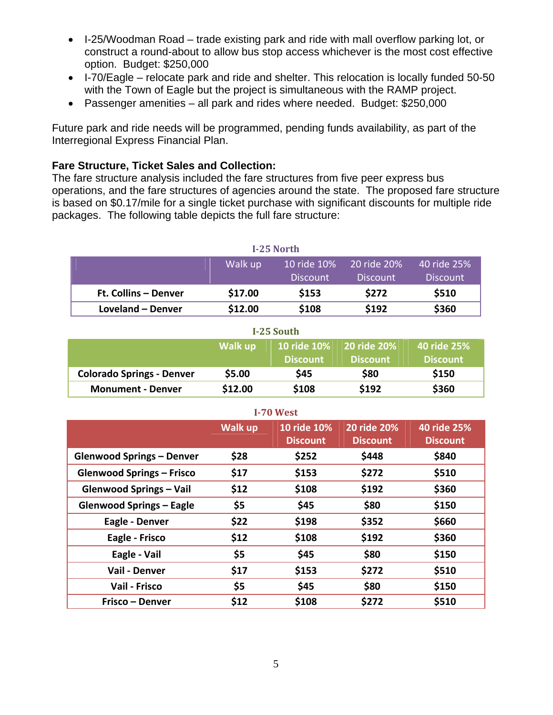- I-25/Woodman Road trade existing park and ride with mall overflow parking lot, or construct a round-about to allow bus stop access whichever is the most cost effective option. Budget: \$250,000
- I-70/Eagle relocate park and ride and shelter. This relocation is locally funded 50-50 with the Town of Eagle but the project is simultaneous with the RAMP project.
- Passenger amenities all park and rides where needed. Budget: \$250,000

Future park and ride needs will be programmed, pending funds availability, as part of the Interregional Express Financial Plan.

#### **Fare Structure, Ticket Sales and Collection:**

The fare structure analysis included the fare structures from five peer express bus operations, and the fare structures of agencies around the state. The proposed fare structure is based on \$0.17/mile for a single ticket purchase with significant discounts for multiple ride packages. The following table depicts the full fare structure:

| I-25 North           |         |                 |                 |                 |  |  |  |  |  |  |
|----------------------|---------|-----------------|-----------------|-----------------|--|--|--|--|--|--|
|                      | Walk up | 10 ride 10%     | 20 ride 20%     | 40 ride 25%     |  |  |  |  |  |  |
|                      |         | <b>Discount</b> | <b>Discount</b> | <b>Discount</b> |  |  |  |  |  |  |
| Ft. Collins - Denver | \$17.00 | \$153           | \$272           | \$510           |  |  |  |  |  |  |
| Loveland – Denver    | \$12.00 | \$108           | \$192           | \$360           |  |  |  |  |  |  |

| 1-25 South                       |         |                 |                                                   |                                |  |  |  |  |  |  |
|----------------------------------|---------|-----------------|---------------------------------------------------|--------------------------------|--|--|--|--|--|--|
|                                  | Walk up | <b>Discount</b> | <b>10 ride 10% 20 ride 20%</b><br><b>Discount</b> | 40 ride 25%<br><b>Discount</b> |  |  |  |  |  |  |
| <b>Colorado Springs - Denver</b> | \$5.00  | <b>S45</b>      | \$80                                              | \$150                          |  |  |  |  |  |  |
| <b>Monument - Denver</b>         | \$12.00 | \$108           | \$192                                             | \$360                          |  |  |  |  |  |  |

**I‐25 South**

| $1 - 70$ West                    |                |                                |                                |                                |  |  |  |  |  |  |  |  |
|----------------------------------|----------------|--------------------------------|--------------------------------|--------------------------------|--|--|--|--|--|--|--|--|
|                                  | <b>Walk up</b> | 10 ride 10%<br><b>Discount</b> | 20 ride 20%<br><b>Discount</b> | 40 ride 25%<br><b>Discount</b> |  |  |  |  |  |  |  |  |
| <b>Glenwood Springs - Denver</b> | \$28           | \$252                          | \$448                          | \$840                          |  |  |  |  |  |  |  |  |
| <b>Glenwood Springs - Frisco</b> | \$17           | \$153                          | \$272                          | \$510                          |  |  |  |  |  |  |  |  |
| <b>Glenwood Springs - Vail</b>   | \$12           | \$108                          | \$192                          | \$360                          |  |  |  |  |  |  |  |  |
| <b>Glenwood Springs - Eagle</b>  | \$5            | \$45                           | \$80                           | \$150                          |  |  |  |  |  |  |  |  |
| Eagle - Denver                   | \$22           | \$198                          | \$352                          | \$660                          |  |  |  |  |  |  |  |  |
| Eagle - Frisco                   | \$12           | \$108                          | \$192                          | \$360                          |  |  |  |  |  |  |  |  |
| Eagle - Vail                     | \$5            | \$45                           | \$80                           | \$150                          |  |  |  |  |  |  |  |  |
| Vail - Denver                    | \$17           | \$153                          | \$272                          | \$510                          |  |  |  |  |  |  |  |  |
| Vail - Frisco                    | \$5            | \$45                           | \$80                           | \$150                          |  |  |  |  |  |  |  |  |
| Frisco - Denver                  | \$12           | \$108                          | \$272                          | \$510                          |  |  |  |  |  |  |  |  |

#### **I‐70 West**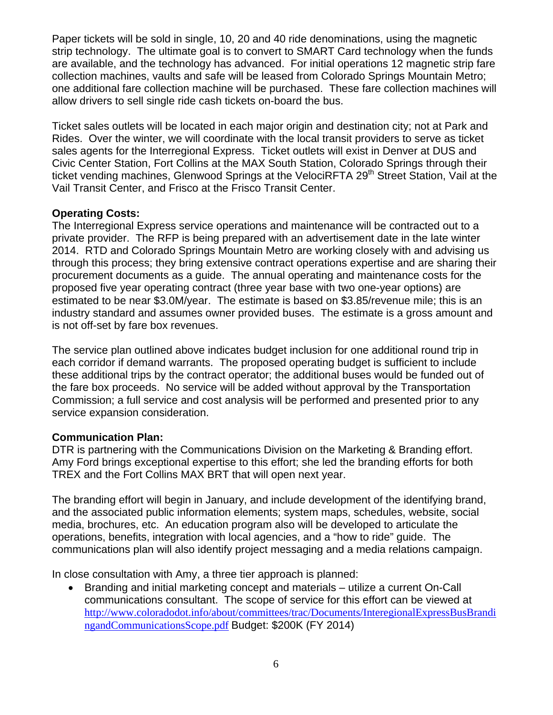Paper tickets will be sold in single, 10, 20 and 40 ride denominations, using the magnetic strip technology. The ultimate goal is to convert to SMART Card technology when the funds are available, and the technology has advanced. For initial operations 12 magnetic strip fare collection machines, vaults and safe will be leased from Colorado Springs Mountain Metro; one additional fare collection machine will be purchased. These fare collection machines will allow drivers to sell single ride cash tickets on-board the bus.

Ticket sales outlets will be located in each major origin and destination city; not at Park and Rides. Over the winter, we will coordinate with the local transit providers to serve as ticket sales agents for the Interregional Express. Ticket outlets will exist in Denver at DUS and Civic Center Station, Fort Collins at the MAX South Station, Colorado Springs through their ticket vending machines, Glenwood Springs at the VelociRFTA 29<sup>th</sup> Street Station, Vail at the Vail Transit Center, and Frisco at the Frisco Transit Center.

#### **Operating Costs:**

The Interregional Express service operations and maintenance will be contracted out to a private provider. The RFP is being prepared with an advertisement date in the late winter 2014. RTD and Colorado Springs Mountain Metro are working closely with and advising us through this process; they bring extensive contract operations expertise and are sharing their procurement documents as a guide. The annual operating and maintenance costs for the proposed five year operating contract (three year base with two one-year options) are estimated to be near \$3.0M/year. The estimate is based on \$3.85/revenue mile; this is an industry standard and assumes owner provided buses. The estimate is a gross amount and is not off-set by fare box revenues.

The service plan outlined above indicates budget inclusion for one additional round trip in each corridor if demand warrants. The proposed operating budget is sufficient to include these additional trips by the contract operator; the additional buses would be funded out of the fare box proceeds. No service will be added without approval by the Transportation Commission; a full service and cost analysis will be performed and presented prior to any service expansion consideration.

#### **Communication Plan:**

DTR is partnering with the Communications Division on the Marketing & Branding effort. Amy Ford brings exceptional expertise to this effort; she led the branding efforts for both TREX and the Fort Collins MAX BRT that will open next year.

The branding effort will begin in January, and include development of the identifying brand, and the associated public information elements; system maps, schedules, website, social media, brochures, etc. An education program also will be developed to articulate the operations, benefits, integration with local agencies, and a "how to ride" guide. The communications plan will also identify project messaging and a media relations campaign.

In close consultation with Amy, a three tier approach is planned:

 Branding and initial marketing concept and materials – utilize a current On-Call communications consultant. The scope of service for this effort can be viewed at http://www.coloradodot.info/about/committees/trac/Documents/InteregionalExpressBusBrandi ngandCommunicationsScope.pdf Budget: \$200K (FY 2014)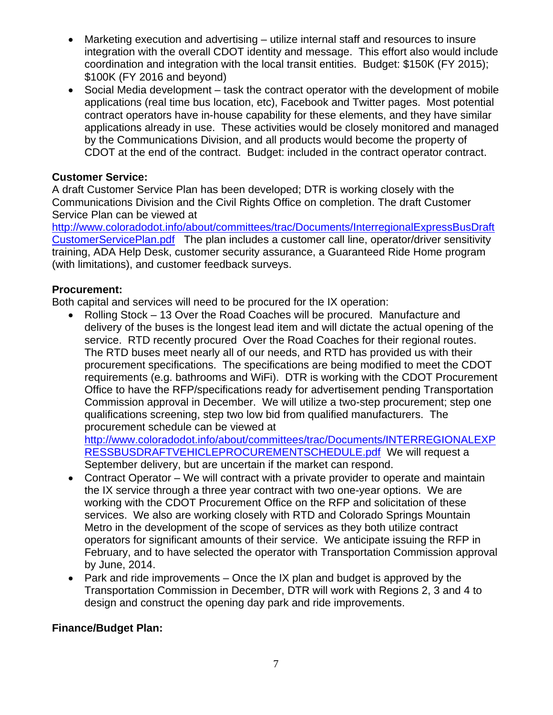- Marketing execution and advertising utilize internal staff and resources to insure integration with the overall CDOT identity and message. This effort also would include coordination and integration with the local transit entities. Budget: \$150K (FY 2015); \$100K (FY 2016 and beyond)
- Social Media development task the contract operator with the development of mobile applications (real time bus location, etc), Facebook and Twitter pages. Most potential contract operators have in-house capability for these elements, and they have similar applications already in use. These activities would be closely monitored and managed by the Communications Division, and all products would become the property of CDOT at the end of the contract. Budget: included in the contract operator contract.

## **Customer Service:**

A draft Customer Service Plan has been developed; DTR is working closely with the Communications Division and the Civil Rights Office on completion. The draft Customer Service Plan can be viewed at

http://www.coloradodot.info/about/committees/trac/Documents/InterregionalExpressBusDraft CustomerServicePlan.pdf The plan includes a customer call line, operator/driver sensitivity training, ADA Help Desk, customer security assurance, a Guaranteed Ride Home program (with limitations), and customer feedback surveys.

## **Procurement:**

Both capital and services will need to be procured for the IX operation:

 Rolling Stock – 13 Over the Road Coaches will be procured. Manufacture and delivery of the buses is the longest lead item and will dictate the actual opening of the service. RTD recently procured Over the Road Coaches for their regional routes. The RTD buses meet nearly all of our needs, and RTD has provided us with their procurement specifications. The specifications are being modified to meet the CDOT requirements (e.g. bathrooms and WiFi). DTR is working with the CDOT Procurement Office to have the RFP/specifications ready for advertisement pending Transportation Commission approval in December. We will utilize a two-step procurement; step one qualifications screening, step two low bid from qualified manufacturers. The procurement schedule can be viewed at

http://www.coloradodot.info/about/committees/trac/Documents/INTERREGIONALEXP RESSBUSDRAFTVEHICLEPROCUREMENTSCHEDULE.pdf We will request a September delivery, but are uncertain if the market can respond.

- Contract Operator We will contract with a private provider to operate and maintain the IX service through a three year contract with two one-year options. We are working with the CDOT Procurement Office on the RFP and solicitation of these services. We also are working closely with RTD and Colorado Springs Mountain Metro in the development of the scope of services as they both utilize contract operators for significant amounts of their service. We anticipate issuing the RFP in February, and to have selected the operator with Transportation Commission approval by June, 2014.
- Park and ride improvements Once the IX plan and budget is approved by the Transportation Commission in December, DTR will work with Regions 2, 3 and 4 to design and construct the opening day park and ride improvements.

## **Finance/Budget Plan:**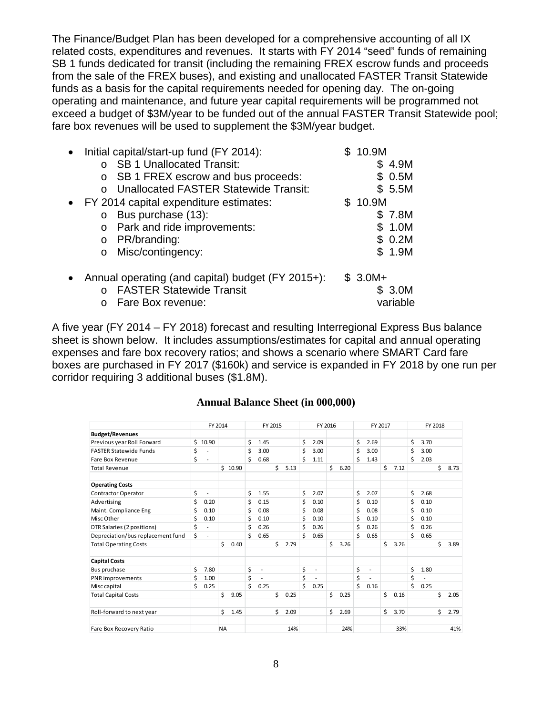The Finance/Budget Plan has been developed for a comprehensive accounting of all IX related costs, expenditures and revenues. It starts with FY 2014 "seed" funds of remaining SB 1 funds dedicated for transit (including the remaining FREX escrow funds and proceeds from the sale of the FREX buses), and existing and unallocated FASTER Transit Statewide funds as a basis for the capital requirements needed for opening day. The on-going operating and maintenance, and future year capital requirements will be programmed not exceed a budget of \$3M/year to be funded out of the annual FASTER Transit Statewide pool; fare box revenues will be used to supplement the \$3M/year budget.

| Initial capital/start-up fund (FY 2014):          | \$10.9M  |
|---------------------------------------------------|----------|
| <b>SB 1 Unallocated Transit:</b>                  | \$4.9M   |
| SB 1 FREX escrow and bus proceeds:<br>$\circ$     | \$0.5M   |
| <b>Unallocated FASTER Statewide Transit:</b>      | \$5.5M   |
| • FY 2014 capital expenditure estimates:          | \$10.9M  |
| Bus purchase (13):<br>$\circ$                     | \$ 7.8M  |
| Park and ride improvements:<br>$\circ$            | \$1.0M   |
| PR/branding:<br>$\circ$                           | \$0.2M   |
| Misc/contingency:<br>$\circ$                      | \$1.9M   |
| Annual operating (and capital) budget (FY 2015+): | $$3.0M+$ |
| <b>FASTER Statewide Transit</b>                   | \$ 3.0M  |
| Fare Box revenue:                                 | variable |

A five year (FY 2014 – FY 2018) forecast and resulting Interregional Express Bus balance sheet is shown below. It includes assumptions/estimates for capital and annual operating expenses and fare box recovery ratios; and shows a scenario where SMART Card fare boxes are purchased in FY 2017 (\$160k) and service is expanded in FY 2018 by one run per corridor requiring 3 additional buses (\$1.8M).

|  |  |  |  | <b>Annual Balance Sheet (in 000,000)</b> |
|--|--|--|--|------------------------------------------|
|--|--|--|--|------------------------------------------|

|                                   | FY 2014 |                | FY 2015   |       |    |                          | FY 2016 |      |    |                          | FY 2017 |      |    |                          | FY 2018 |      |    |                          |    |      |
|-----------------------------------|---------|----------------|-----------|-------|----|--------------------------|---------|------|----|--------------------------|---------|------|----|--------------------------|---------|------|----|--------------------------|----|------|
| <b>Budget/Revenues</b>            |         |                |           |       |    |                          |         |      |    |                          |         |      |    |                          |         |      |    |                          |    |      |
| Previous year Roll Forward        | Ś.      | 10.90          |           |       | \$ | 1.45                     |         |      | \$ | 2.09                     |         |      | \$ | 2.69                     |         |      | Ś  | 3.70                     |    |      |
| <b>FASTER Statewide Funds</b>     | \$      |                |           |       | \$ | 3.00                     |         |      | \$ | 3.00                     |         |      | \$ | 3.00                     |         |      | \$ | 3.00                     |    |      |
| Fare Box Revenue                  | \$      |                |           |       | \$ | 0.68                     |         |      | Ś  | 1.11                     |         |      | \$ | 1.43                     |         |      | Ś  | 2.03                     |    |      |
| <b>Total Revenue</b>              |         |                | Ś.        | 10.90 |    |                          | \$      | 5.13 |    |                          | \$      | 6.20 |    |                          | \$      | 7.12 |    |                          | \$ | 8.73 |
| <b>Operating Costs</b>            |         |                |           |       |    |                          |         |      |    |                          |         |      |    |                          |         |      |    |                          |    |      |
| <b>Contractor Operator</b>        | \$      | $\overline{a}$ |           |       | \$ | 1.55                     |         |      | \$ | 2.07                     |         |      | \$ | 2.07                     |         |      | \$ | 2.68                     |    |      |
| Advertising                       | \$      | 0.20           |           |       | \$ | 0.15                     |         |      | \$ | 0.10                     |         |      | \$ | 0.10                     |         |      | \$ | 0.10                     |    |      |
| Maint. Compliance Eng             | \$      | 0.10           |           |       | \$ | 0.08                     |         |      | \$ | 0.08                     |         |      | \$ | 0.08                     |         |      | \$ | 0.10                     |    |      |
| Misc Other                        | \$      | 0.10           |           |       | \$ | 0.10                     |         |      | \$ | 0.10                     |         |      | \$ | 0.10                     |         |      | \$ | 0.10                     |    |      |
| DTR Salaries (2 positions)        | \$      | $\overline{a}$ |           |       | \$ | 0.26                     |         |      | \$ | 0.26                     |         |      | \$ | 0.26                     |         |      | \$ | 0.26                     |    |      |
| Depreciation/bus replacement fund | \$      | $\overline{a}$ |           |       | \$ | 0.65                     |         |      | \$ | 0.65                     |         |      | \$ | 0.65                     |         |      | Ś  | 0.65                     |    |      |
| <b>Total Operating Costs</b>      |         |                | \$        | 0.40  |    |                          | \$      | 2.79 |    |                          | \$      | 3.26 |    |                          | \$      | 3.26 |    |                          | \$ | 3.89 |
| <b>Capital Costs</b>              |         |                |           |       |    |                          |         |      |    |                          |         |      |    |                          |         |      |    |                          |    |      |
| Bus pruchase                      | \$      | 7.80           |           |       | \$ | $\overline{\phantom{a}}$ |         |      | \$ | $\overline{\phantom{a}}$ |         |      | \$ | $\overline{\phantom{a}}$ |         |      | \$ | 1.80                     |    |      |
| PNR improvements                  | \$      | 1.00           |           |       | \$ | ÷,                       |         |      | \$ | $\overline{\phantom{a}}$ |         |      | \$ |                          |         |      | \$ | $\overline{\phantom{a}}$ |    |      |
| Misc capital                      | \$      | 0.25           |           |       | \$ | 0.25                     |         |      | \$ | 0.25                     |         |      | \$ | 0.16                     |         |      | Ś  | 0.25                     |    |      |
| <b>Total Capital Costs</b>        |         |                | \$        | 9.05  |    |                          | \$      | 0.25 |    |                          | \$      | 0.25 |    |                          | \$      | 0.16 |    |                          | \$ | 2.05 |
| Roll-forward to next year         |         |                | \$        | 1.45  |    |                          | \$      | 2.09 |    |                          | \$      | 2.69 |    |                          | \$      | 3.70 |    |                          | \$ | 2.79 |
| Fare Box Recovery Ratio           |         |                | <b>NA</b> |       |    |                          |         | 14%  |    |                          |         | 24%  |    |                          |         | 33%  |    |                          |    | 41%  |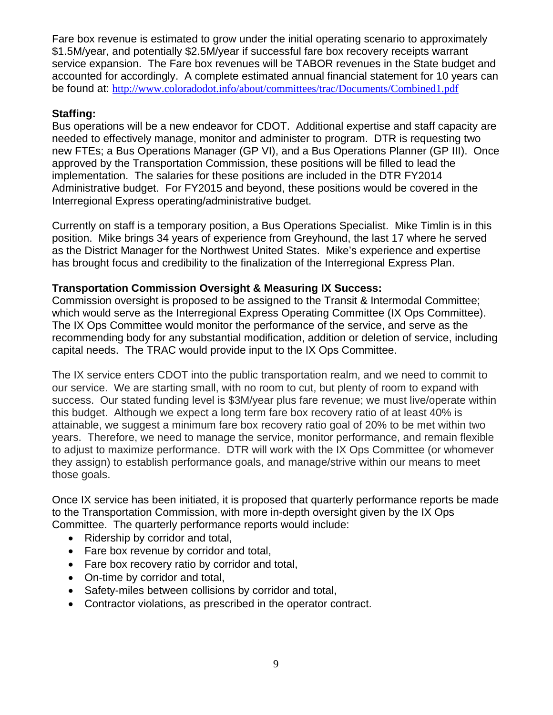Fare box revenue is estimated to grow under the initial operating scenario to approximately \$1.5M/year, and potentially \$2.5M/year if successful fare box recovery receipts warrant service expansion. The Fare box revenues will be TABOR revenues in the State budget and accounted for accordingly. A complete estimated annual financial statement for 10 years can be found at: http://www.coloradodot.info/about/committees/trac/Documents/Combined1.pdf

### **Staffing:**

Bus operations will be a new endeavor for CDOT. Additional expertise and staff capacity are needed to effectively manage, monitor and administer to program. DTR is requesting two new FTEs; a Bus Operations Manager (GP VI), and a Bus Operations Planner (GP III). Once approved by the Transportation Commission, these positions will be filled to lead the implementation. The salaries for these positions are included in the DTR FY2014 Administrative budget. For FY2015 and beyond, these positions would be covered in the Interregional Express operating/administrative budget.

Currently on staff is a temporary position, a Bus Operations Specialist. Mike Timlin is in this position. Mike brings 34 years of experience from Greyhound, the last 17 where he served as the District Manager for the Northwest United States. Mike's experience and expertise has brought focus and credibility to the finalization of the Interregional Express Plan.

#### **Transportation Commission Oversight & Measuring IX Success:**

Commission oversight is proposed to be assigned to the Transit & Intermodal Committee; which would serve as the Interregional Express Operating Committee (IX Ops Committee). The IX Ops Committee would monitor the performance of the service, and serve as the recommending body for any substantial modification, addition or deletion of service, including capital needs. The TRAC would provide input to the IX Ops Committee.

The IX service enters CDOT into the public transportation realm, and we need to commit to our service. We are starting small, with no room to cut, but plenty of room to expand with success. Our stated funding level is \$3M/year plus fare revenue; we must live/operate within this budget. Although we expect a long term fare box recovery ratio of at least 40% is attainable, we suggest a minimum fare box recovery ratio goal of 20% to be met within two years. Therefore, we need to manage the service, monitor performance, and remain flexible to adjust to maximize performance. DTR will work with the IX Ops Committee (or whomever they assign) to establish performance goals, and manage/strive within our means to meet those goals.

Once IX service has been initiated, it is proposed that quarterly performance reports be made to the Transportation Commission, with more in-depth oversight given by the IX Ops Committee. The quarterly performance reports would include:

- Ridership by corridor and total,
- Fare box revenue by corridor and total,
- Fare box recovery ratio by corridor and total,
- On-time by corridor and total,
- Safety-miles between collisions by corridor and total,
- Contractor violations, as prescribed in the operator contract.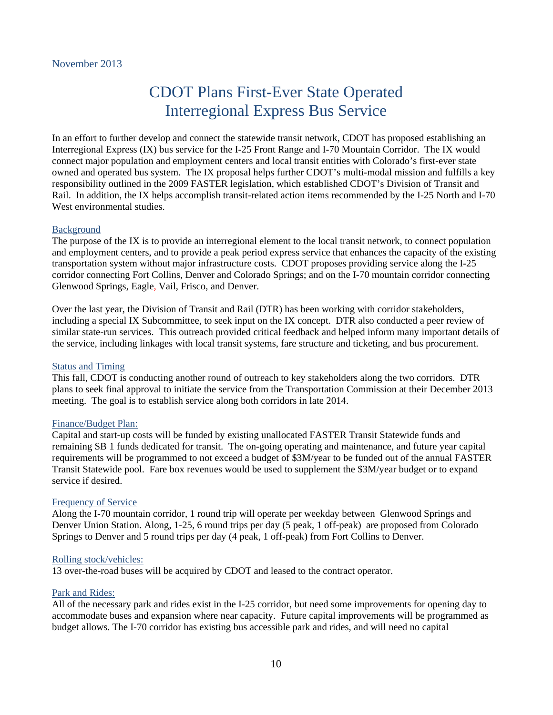## CDOT Plans First-Ever State Operated Interregional Express Bus Service

In an effort to further develop and connect the statewide transit network, CDOT has proposed establishing an Interregional Express (IX) bus service for the I-25 Front Range and I-70 Mountain Corridor. The IX would connect major population and employment centers and local transit entities with Colorado's first-ever state owned and operated bus system. The IX proposal helps further CDOT's multi-modal mission and fulfills a key responsibility outlined in the 2009 FASTER legislation, which established CDOT's Division of Transit and Rail. In addition, the IX helps accomplish transit-related action items recommended by the I-25 North and I-70 West environmental studies.

#### Background

The purpose of the IX is to provide an interregional element to the local transit network, to connect population and employment centers, and to provide a peak period express service that enhances the capacity of the existing transportation system without major infrastructure costs. CDOT proposes providing service along the I-25 corridor connecting Fort Collins, Denver and Colorado Springs; and on the I-70 mountain corridor connecting Glenwood Springs, Eagle, Vail, Frisco, and Denver.

Over the last year, the Division of Transit and Rail (DTR) has been working with corridor stakeholders, including a special IX Subcommittee, to seek input on the IX concept. DTR also conducted a peer review of similar state-run services. This outreach provided critical feedback and helped inform many important details of the service, including linkages with local transit systems, fare structure and ticketing, and bus procurement.

#### Status and Timing

This fall, CDOT is conducting another round of outreach to key stakeholders along the two corridors. DTR plans to seek final approval to initiate the service from the Transportation Commission at their December 2013 meeting. The goal is to establish service along both corridors in late 2014.

#### Finance/Budget Plan:

Capital and start-up costs will be funded by existing unallocated FASTER Transit Statewide funds and remaining SB 1 funds dedicated for transit. The on-going operating and maintenance, and future year capital requirements will be programmed to not exceed a budget of \$3M/year to be funded out of the annual FASTER Transit Statewide pool. Fare box revenues would be used to supplement the \$3M/year budget or to expand service if desired.

#### Frequency of Service

Along the I-70 mountain corridor, 1 round trip will operate per weekday between Glenwood Springs and Denver Union Station. Along, 1-25, 6 round trips per day (5 peak, 1 off-peak) are proposed from Colorado Springs to Denver and 5 round trips per day (4 peak, 1 off-peak) from Fort Collins to Denver.

#### Rolling stock/vehicles:

13 over-the-road buses will be acquired by CDOT and leased to the contract operator.

#### Park and Rides:

All of the necessary park and rides exist in the I-25 corridor, but need some improvements for opening day to accommodate buses and expansion where near capacity. Future capital improvements will be programmed as budget allows. The I-70 corridor has existing bus accessible park and rides, and will need no capital